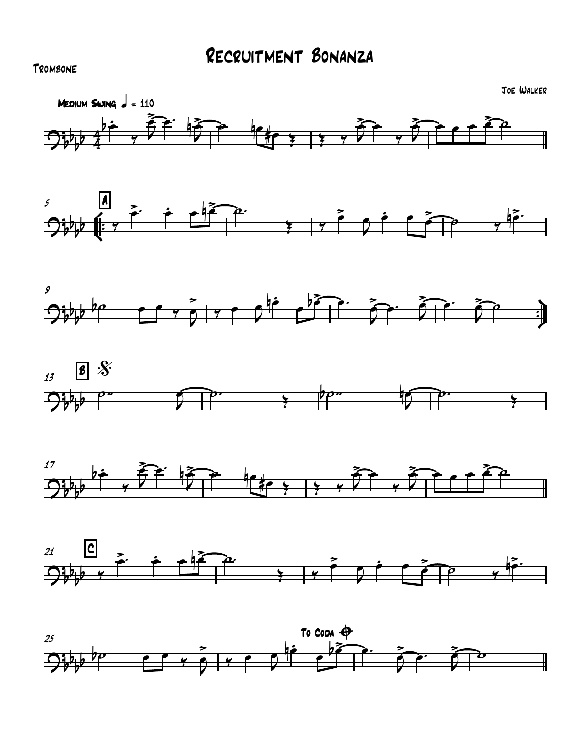## **TROMBONE**